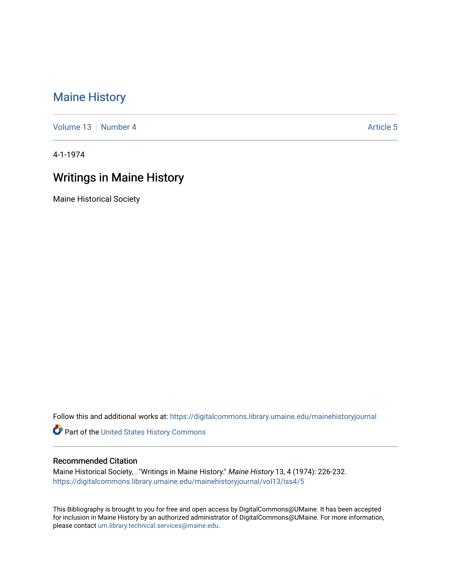# [Maine History](https://digitalcommons.library.umaine.edu/mainehistoryjournal)

[Volume 13](https://digitalcommons.library.umaine.edu/mainehistoryjournal/vol13) [Number 4](https://digitalcommons.library.umaine.edu/mainehistoryjournal/vol13/iss4) [Article 5](https://digitalcommons.library.umaine.edu/mainehistoryjournal/vol13/iss4/5) Article 5

4-1-1974

# Writings in Maine History

Maine Historical Society

Follow this and additional works at: [https://digitalcommons.library.umaine.edu/mainehistoryjournal](https://digitalcommons.library.umaine.edu/mainehistoryjournal?utm_source=digitalcommons.library.umaine.edu%2Fmainehistoryjournal%2Fvol13%2Fiss4%2F5&utm_medium=PDF&utm_campaign=PDFCoverPages) 

Part of the [United States History Commons](http://network.bepress.com/hgg/discipline/495?utm_source=digitalcommons.library.umaine.edu%2Fmainehistoryjournal%2Fvol13%2Fiss4%2F5&utm_medium=PDF&utm_campaign=PDFCoverPages) 

#### Recommended Citation

Maine Historical Society, . "Writings in Maine History." Maine History 13, 4 (1974): 226-232. [https://digitalcommons.library.umaine.edu/mainehistoryjournal/vol13/iss4/5](https://digitalcommons.library.umaine.edu/mainehistoryjournal/vol13/iss4/5?utm_source=digitalcommons.library.umaine.edu%2Fmainehistoryjournal%2Fvol13%2Fiss4%2F5&utm_medium=PDF&utm_campaign=PDFCoverPages)

This Bibliography is brought to you for free and open access by DigitalCommons@UMaine. It has been accepted for inclusion in Maine History by an authorized administrator of DigitalCommons@UMaine. For more information, please contact [um.library.technical.services@maine.edu.](mailto:um.library.technical.services@maine.edu)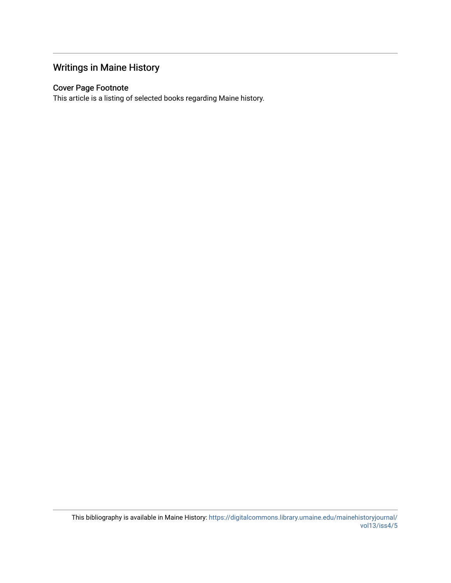## Writings in Maine History

### Cover Page Footnote

This article is a listing of selected books regarding Maine history.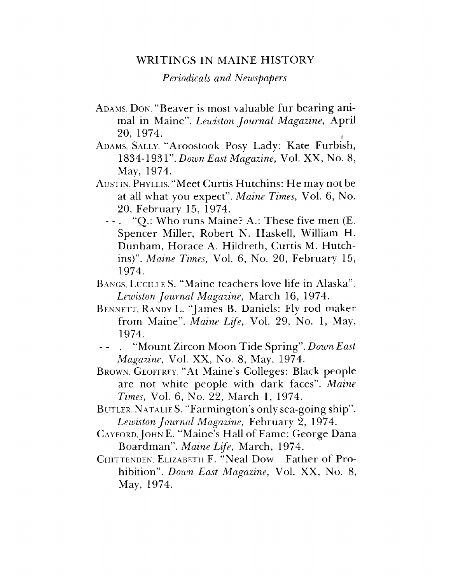### WRITINGS IN MAINE HISTORY

*Periodicals and Newspapers*

- ADAMS, DON. "Beaver is most valuable fur bearing animal in Maine". *Lewiston Journal Magazine,* April 20, 1974. (
- Adams, Sally. "Aroostook Posy Lady: Kate Furbish, 1834-1931". *Down East Magazine,* Vol. XX, No. 8, May, 1974.
- Austin. Phyllis. "Meet Curtis Hutchins: He may not be at all what you expect". *Maine Times,* Vol. 6, No. 20, February 15, 1974.
	- "Q.: Who runs Maine? A.: These five men (E.  $- -$ . Spencer Miller, Robert N. Haskell, William H. Dunham, Horace A. Hildreth, Curtis M. Hutchins)". *Maine Times,* Vol. 6, No. 20, February 15, 1974.
- Bangs, Lucille S. "Maine teachers love life in Alaska". *Lewiston Journal Magazine,* March 16, 1974.
- Bennett, Randy L. "James B. Daniels: Fly rod maker from Maine". *Maine Life,* Vol. 29, No. 1, May, 1974.
- - . "Mount Zircon Moon Tide Spring". *Down East Magazine,* Vol. XX, No. 8, May, 1974.
- Brown, Geoffrey. "At Maine'<sup>s</sup> Colleges: Black people are not white people with dark faces". *Maine Times,* Vol. 6, No. 22, March 1, 1974.
- Butler, Natalie S. "Farmington's only sea-going ship". *Lewiston Journal Magazine,* February 2, 1974.
- CAYFORD. JOHN E. "Maine's Hall of Fame: George Dana Boardman". *Maine Life,* March, 1974.
- CHITTENDEN. ELIZABETH F. "Neal Dow Father of Prohibition". *Down East Magazine,* Vol. XX, No. 8, May, 1974.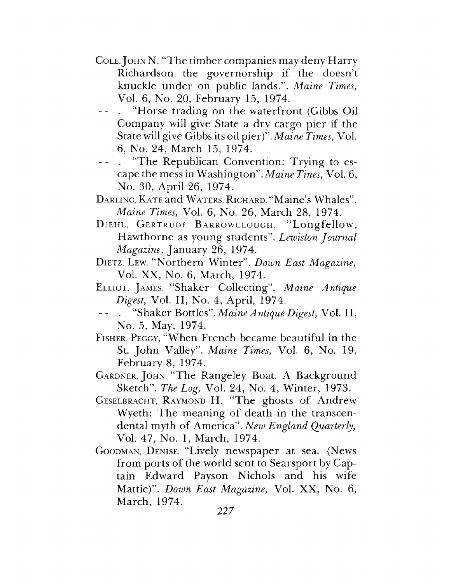- <sup>C</sup>ole, John N. "The timber companies may deny Harry Richardson the governorship if the doesn't knuckle under on public lands.". *Maine Times,* Vol. 6, No. 20, February 15, 1974.
- "Horse trading on the waterfront (Gibbs Oil Company will give State a dry cargo pier if the State will give Gibbs its oil pier)". *Maine Times,* Vol. 6, No. 24, March 15, 1974.
- - . "The Republican Convention: Trying to escape the mess in Washington". *Maine Tines,* Vol. 6, No. 30, April 26, 1974.
- Darling, Kate and Waters, Richard. "Maine's Whales". *Maine Times,* Vol. 6, No. 26, March 28, 1974.
- DIEHL, GERTRUDE BARROWCLOUGH. "Longfellow, Hawthorne as young students". *Lewiston Journal Magazine,* January 26, 1974.
- Dietz, Lew. "Northern Winter". *Down East Magazine,* Vol. XX, No. 6, March, 1974.
- <sup>E</sup>lliot, James. "Shaker Collecting". *Maine Antique Digest,* Vol. II, No. 4, April, 1974.
- -- . "Shaker Bottles". *Maine Antique Digest,* Vol. II, No. 5, May, 1974.
- Fisher, Peggy, "When French became beautiful in the St. John Valley". *Maine Times,* Vol. 6, No. 19, February 8, 1974.
- <sup>G</sup>ardner, John. "The Rangeley Boat. <sup>A</sup> Background Sketch". *The Log,* Vol. 24, No. 4, Winter, 1973.
- Geselbracht, Raymond H. "The ghosts of Andrew Wyeth: The meaning of death in the transcendental myth of America". *New England Quarterly,* Vol. 47, No. 1, March, 1974.
- Goodman, Denise. "Lively newspaper at sea. (News from ports of the world sent to Searsport by Captain Edward Payson Nichols and his wife Mattie)". *Down East Magazine,* Vol. XX, No. 6, March, 1974.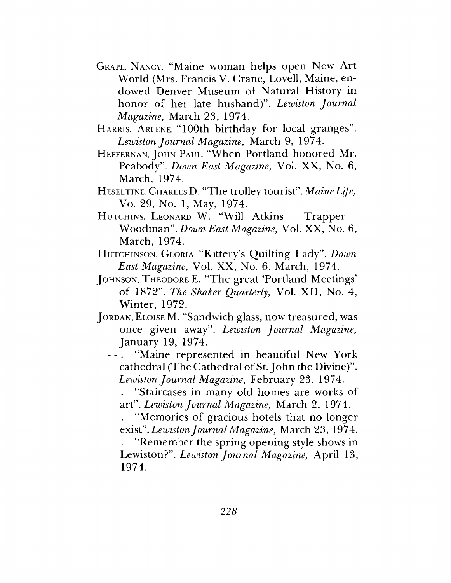- Grape, Nancy. "Maine woman helps open New Art World (Mrs. Francis V. Crane, Lovell, Maine, endowed Denver Museum of Natural History in honor of her late husband)". *Lewiston Journal Magazine,* March 23, 1974.
- Harris, Arlene. "100th birthday for local granges". *Lewiston Journal Magazine,* March 9, 1974.
- <sup>H</sup>effernan, John <sup>P</sup>aul. "When Portland honored Mr. Peabody". *Down East Magazine,* Vol. XX, No. 6, March, 1974.
- Heseltine, Charles D. "The trolley tourist". *Maine Life,* Vo. 29, No. 1, May, 1974.
- HUTCHINS, LEONARD W. "Will Atkins Trapper Woodman". *Down East Magazine,* Vol. XX, No. 6, March, 1974.
- HUTCHINSON, GLORIA. "Kittery's Quilting Lady". *Down East Magazine,* Vol. XX, No. 6, March, 1974.
- JOHNSON, THEODORE E. "The great 'Portland Meetings' of 1872". *The Shaker Quarterly,* Vol. XII, No. 4, Winter, 1972.
- JORDAN, ELOISE M. "Sandwich glass, now treasured, was once given away". *Lewiston Journal Magazine,* January 19, 1974.
	- "Maine represented in beautiful New York cathedral (The Cathedral of St. John the Divine)". *Lewiston Journal Magazine,* February 23, 1974.
	- "Staircases in many old homes are works of art". *Lewiston Journal Magazine,* March 2, 1974.
		- . "Memories of gracious hotels that no longer exist". *LewistonJournal Magazine,* March 23, 1974.
- "Remember the spring opening style shows in Lewiston?". *Lewiston Journal Magazine,* April 13, 1974.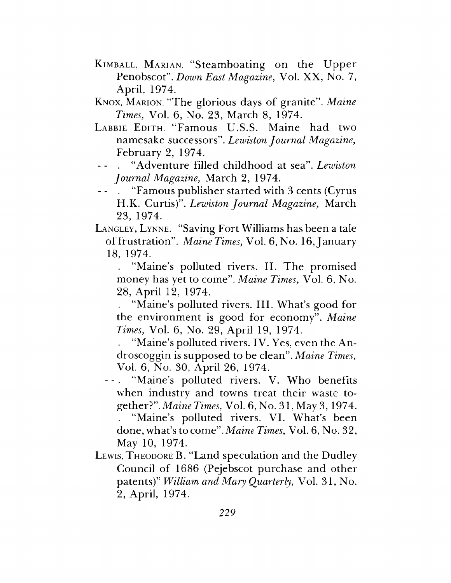- Kimball, Marian. "Steamboating on the Upper Penobscot". *Down East Magazine,* Vol. XX, No. 7, April, 1974.
- Knox, Marion. "The glorious days of granite". *Maine Times,* Vol. 6, No. 23, March 8, 1974.
- LABBIE EDITH. "Famous U.S.S. Maine had two namesake successors". *Lewiston Journal Magazine,* February 2, 1974.
- - . "Adventure filled childhood at sea". *Lewiston Journal Magazine,* March 2, 1974.
- "Famous publisher started with 3 cents (Cyrus H.K. Curtis)". *Lewiston Journal Magazine,* March 23, 1974.

Langley, Lynne. "Saving Fort Williams has been a tale of frustration". *Maine Times*, Vol. 6, No. 16, January 18, 1974.

"Maine's polluted rivers. II. The promised money has yet to come". *Maine Times,* Vol. 6, No. 28, April 12, 1974.

. "Maine's polluted rivers. III. What'<sup>s</sup> good for the environment is good for economy". *Maine Times,* Vol. 6, No. 29, April 19, 1974.

. "Maine'<sup>s</sup> polluted rivers. IV. Yes, even the Androscoggin is supposed to be clean". *Maine Times,* Vol. 6, No. 30, April 26, 1974.

- "Maine's polluted rivers. V. Who benefits when industry and towns treat their waste together?". Maine *Times,* Vol. 6, No. 31, May 3, 1974. "Maine's polluted rivers. VI. What's been done, what's to come". *Maine Times,* Vol. 6, No. 32, May 10, 1974.
- LEWIS, THEODORE B. "Land speculation and the Dudley Council of 1686 (Pejebscot purchase and other patents)" *William and Mary Quarterly,* Vol. 31, No. 2, April, 1974.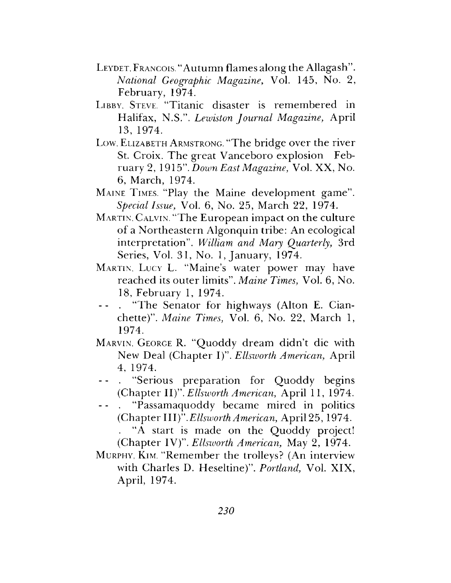- LEYDET, FRANCOIS. "Autumn flames along the Allagash". *National Geographic Magazine,* Vol. 145, No. 2, February, 1974.
- LIBBY, STEVE. "Titanic disaster is remembered in Halifax, N.S.". *Lewiston Journal Magazine,* April 13, 1974.
- Low, ELIZABETH ARMSTRONG. "The bridge over the river St. Croix. The great Vanceboro explosion February 2, 1915". *Down East Magazine,* Vol. XX, No. 6, March, 1974.
- Maine Times. "Play the Maine development game". *Special Issue,* Vol. 6, No. 25, March 22, 1974.
- Martin, Calvin. "The European impact on the culture of a Northeastern Algonquin tribe: An ecological interpretation". *William and Mary Quarterly,* 3rd Series, Vol. 31, No. 1, January, 1974.
- Martin, Lucy L. "Maine's water power may have reached its outer limits". *Maine Times,* Vol. 6, No. 18, February 1, 1974.
- - . "The Senator for highways (Alton E. Cianchette)". *Maine Times,* Vol. 6, No. 22, March 1, 1974.
- Marvin, George R. "Quoddy dream didn't die with New Deal (Chapter I)". *Ellsworth American,* April 4, 1974.
- "Serious preparation for Quoddy begins (Chapter II)". *Ellsworth American,* April 11, 1974.
- "Passamaquoddy became mired in politics (Chapter III)".*Ellsworth American,* April 25, 1974.

"A start is made on the Quoddy project! (Chapter IV)". *Ellsiuorth American,* May 2, 1974.

Murphy, Kim. "Remember the trolleys? (An interview with Charles D. Heseltine)". *Portland,* Vol. XIX, April, 1974.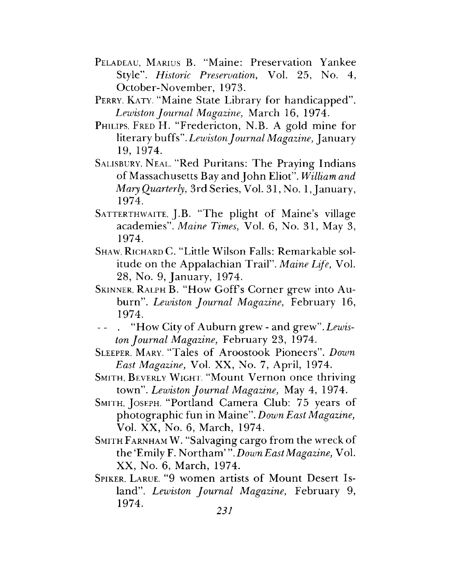- Peladeau, Marius B. "Maine: Preservation Yankee Style". *Historic Preservation,* Vol. 25, No. 4, October-November, 1973.
- PERRY, KATY. "Maine State Library for handicapped". *Lewiston Journal Magazine,* March 16, 1974.
- PHILIPS, FRED H. "Fredericton, N.B. A gold mine for literary buffs". *LewistonJournal Magazine,* January 19, 1974.
- Salisbury, Neal. "Red Puritans: The Praying Indians of Massachusetts Bay andJohn Eliot". *William and Mary Quarterly, 3rd Series, Vol. 31, No. 1, January,* 1974.
- SATTERTHWAITE, J.B. "The plight of Maine's village academies". *Maine Times,* Vol. 6, No. 31, May 3, 1974.
- Shaw, Richard C. "Little Wilson Falls: Remarkable solitude on the Appalachian Trail". *Maine Life,* Vol. 28, No. 9, January, 1974.
- SKINNER, RALPH B. "How Goff's Corner grew into Auburn". *Lewiston Journal Magazine,* February 16, 1974.
- "How City of Auburn grew and grew". Lewis*ton Journal Magazine,* February 23, 1974.
- Sleeper, Mary. "Tales of Aroostook Pioneers". *Down East Magazine,* Vol. XX, No. 7, April, 1974.
- SMITH, BEVERLY WIGHT. "Mount Vernon once thriving town". *Lewiston Journal Magazine,* May 4, 1974.
- <sup>S</sup>mith, Joseph. "Portland Camera Club: <sup>75</sup> years of photographic fun in Maine". *Down East Magazine,* Vol. XX, No. 6, March, 1974.
- SMITH FARNHAM W. "Salvaging cargo from the wreck of the'Emily F. Northam' " *.Down EastMagazine,* Vol. XX, No. 6, March, 1974.
- Spiker, Larue. "9 women artists of Mount Desert Island". *Lewiston Journal Magazine,* February 9, 1974. *<sup>231</sup>*